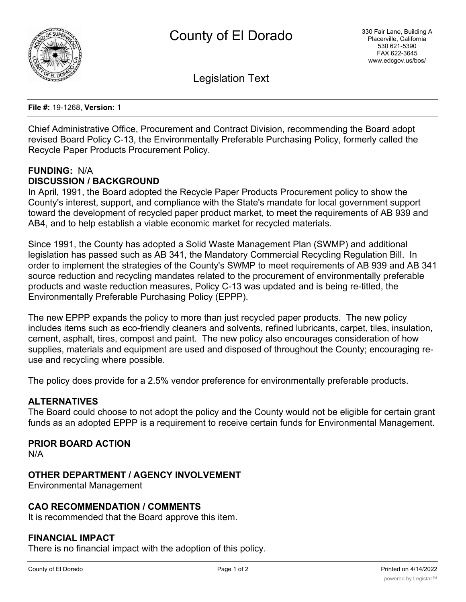

Legislation Text

**File #:** 19-1268, **Version:** 1

Chief Administrative Office, Procurement and Contract Division, recommending the Board adopt revised Board Policy C-13, the Environmentally Preferable Purchasing Policy, formerly called the Recycle Paper Products Procurement Policy.

## **FUNDING:** N/A **DISCUSSION / BACKGROUND**

In April, 1991, the Board adopted the Recycle Paper Products Procurement policy to show the County's interest, support, and compliance with the State's mandate for local government support toward the development of recycled paper product market, to meet the requirements of AB 939 and AB4, and to help establish a viable economic market for recycled materials.

Since 1991, the County has adopted a Solid Waste Management Plan (SWMP) and additional legislation has passed such as AB 341, the Mandatory Commercial Recycling Regulation Bill. In order to implement the strategies of the County's SWMP to meet requirements of AB 939 and AB 341 source reduction and recycling mandates related to the procurement of environmentally preferable products and waste reduction measures, Policy C-13 was updated and is being re-titled, the Environmentally Preferable Purchasing Policy (EPPP).

The new EPPP expands the policy to more than just recycled paper products. The new policy includes items such as eco-friendly cleaners and solvents, refined lubricants, carpet, tiles, insulation, cement, asphalt, tires, compost and paint. The new policy also encourages consideration of how supplies, materials and equipment are used and disposed of throughout the County; encouraging reuse and recycling where possible.

The policy does provide for a 2.5% vendor preference for environmentally preferable products.

#### **ALTERNATIVES**

The Board could choose to not adopt the policy and the County would not be eligible for certain grant funds as an adopted EPPP is a requirement to receive certain funds for Environmental Management.

#### **PRIOR BOARD ACTION**

N/A

#### **OTHER DEPARTMENT / AGENCY INVOLVEMENT**

Environmental Management

#### **CAO RECOMMENDATION / COMMENTS**

It is recommended that the Board approve this item.

#### **FINANCIAL IMPACT**

There is no financial impact with the adoption of this policy.